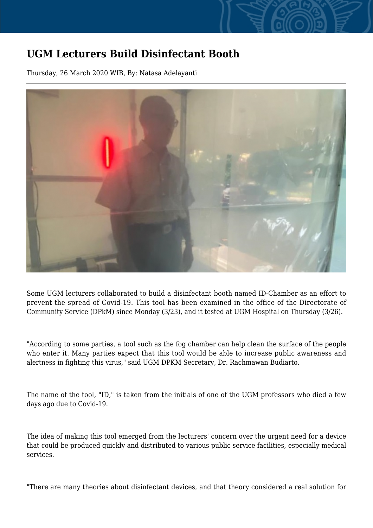## **UGM Lecturers Build Disinfectant Booth**

Thursday, 26 March 2020 WIB, By: Natasa Adelayanti



Some UGM lecturers collaborated to build a disinfectant booth named ID-Chamber as an effort to prevent the spread of Covid-19. This tool has been examined in the office of the Directorate of Community Service (DPkM) since Monday (3/23), and it tested at UGM Hospital on Thursday (3/26).

"According to some parties, a tool such as the fog chamber can help clean the surface of the people who enter it. Many parties expect that this tool would be able to increase public awareness and alertness in fighting this virus," said UGM DPKM Secretary, Dr. Rachmawan Budiarto.

The name of the tool, "ID," is taken from the initials of one of the UGM professors who died a few days ago due to Covid-19.

The idea of making this tool emerged from the lecturers' concern over the urgent need for a device that could be produced quickly and distributed to various public service facilities, especially medical services.

"There are many theories about disinfectant devices, and that theory considered a real solution for